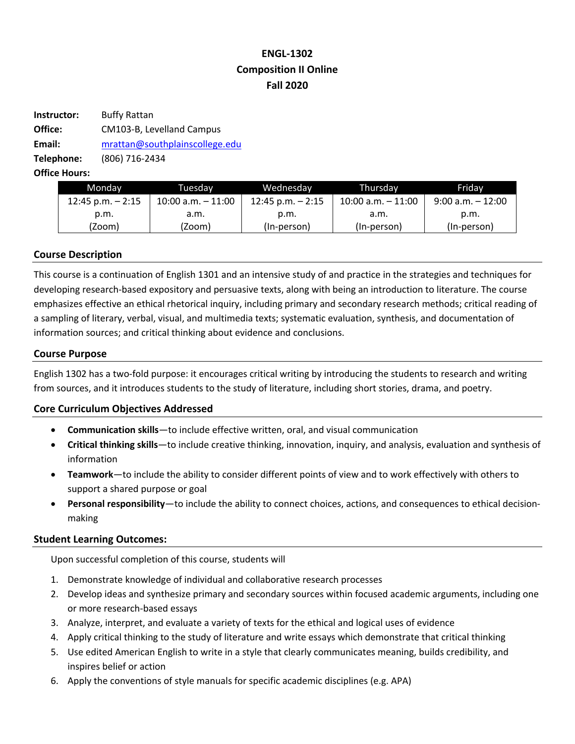# **ENGL-1302 Composition II Online Fall 2020**

| Instructor: | <b>Buffy Rattan</b>            |  |  |
|-------------|--------------------------------|--|--|
| Office:     | CM103-B, Levelland Campus      |  |  |
| Email:      | mrattan@southplainscollege.edu |  |  |
| Telephone:  | (806) 716-2434                 |  |  |
|             |                                |  |  |

**Office Hours:** 

| Monday             | Tuesdav               | Wednesday            | Thursdav              | Fridav               |
|--------------------|-----------------------|----------------------|-----------------------|----------------------|
| 12:45 p.m. $-2:15$ | $10:00$ a.m. $-11:00$ | $12:45$ p.m. $-2:15$ | $10:00$ a.m. $-11:00$ | $9:00$ a.m. $-12:00$ |
| p.m.               | a.m.                  | p.m.                 | .a.m                  | p.m.                 |
| (Zoom)             | (Zoom)                | (In-person)          | (In-person)           | (In-person)          |

# **Course Description**

This course is a continuation of English 1301 and an intensive study of and practice in the strategies and techniques for developing research-based expository and persuasive texts, along with being an introduction to literature. The course emphasizes effective an ethical rhetorical inquiry, including primary and secondary research methods; critical reading of a sampling of literary, verbal, visual, and multimedia texts; systematic evaluation, synthesis, and documentation of information sources; and critical thinking about evidence and conclusions.

# **Course Purpose**

English 1302 has a two-fold purpose: it encourages critical writing by introducing the students to research and writing from sources, and it introduces students to the study of literature, including short stories, drama, and poetry.

# **Core Curriculum Objectives Addressed**

- **Communication skills**—to include effective written, oral, and visual communication
- **Critical thinking skills**—to include creative thinking, innovation, inquiry, and analysis, evaluation and synthesis of information
- **Teamwork**—to include the ability to consider different points of view and to work effectively with others to support a shared purpose or goal
- **Personal responsibility**—to include the ability to connect choices, actions, and consequences to ethical decisionmaking

# **Student Learning Outcomes:**

Upon successful completion of this course, students will

- 1. Demonstrate knowledge of individual and collaborative research processes
- 2. Develop ideas and synthesize primary and secondary sources within focused academic arguments, including one or more research-based essays
- 3. Analyze, interpret, and evaluate a variety of texts for the ethical and logical uses of evidence
- 4. Apply critical thinking to the study of literature and write essays which demonstrate that critical thinking
- 5. Use edited American English to write in a style that clearly communicates meaning, builds credibility, and inspires belief or action
- 6. Apply the conventions of style manuals for specific academic disciplines (e.g. APA)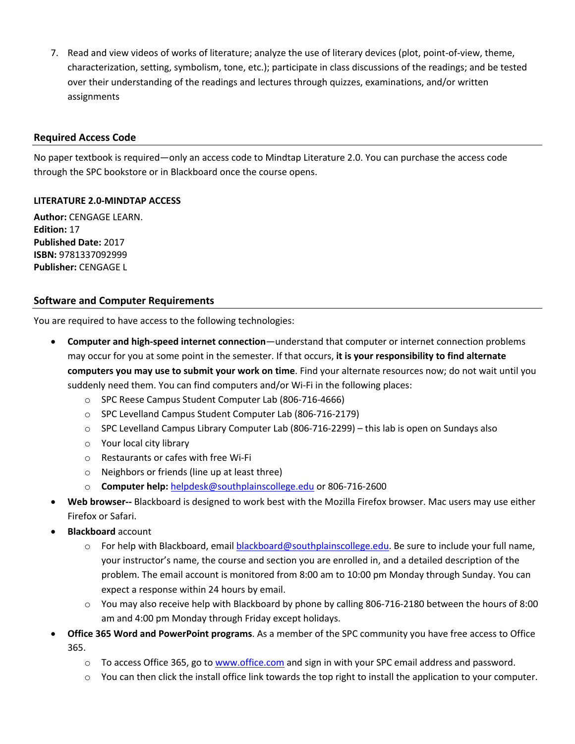7. Read and view videos of works of literature; analyze the use of literary devices (plot, point-of-view, theme, characterization, setting, symbolism, tone, etc.); participate in class discussions of the readings; and be tested over their understanding of the readings and lectures through quizzes, examinations, and/or written assignments

# **Required Access Code**

No paper textbook is required—only an access code to Mindtap Literature 2.0. You can purchase the access code through the SPC bookstore or in Blackboard once the course opens.

# **LITERATURE 2.0-MINDTAP ACCESS**

**Author:** CENGAGE LEARN. **Edition:** 17 **Published Date:** 2017 **ISBN:** 9781337092999 **Publisher:** CENGAGE L

# **Software and Computer Requirements**

You are required to have access to the following technologies:

- **Computer and high-speed internet connection**—understand that computer or internet connection problems may occur for you at some point in the semester. If that occurs, **it is your responsibility to find alternate computers you may use to submit your work on time**. Find your alternate resources now; do not wait until you suddenly need them. You can find computers and/or Wi-Fi in the following places:
	- o SPC Reese Campus Student Computer Lab (806-716-4666)
	- o SPC Levelland Campus Student Computer Lab (806-716-2179)
	- o SPC Levelland Campus Library Computer Lab (806-716-2299) this lab is open on Sundays also
	- o Your local city library
	- o Restaurants or cafes with free Wi-Fi
	- o Neighbors or friends (line up at least three)
	- o **Computer help:** helpdesk@southplainscollege.edu or 806-716-2600
- **Web browser--** Blackboard is designed to work best with the Mozilla Firefox browser. Mac users may use either Firefox or Safari.
- **Blackboard** account
	- o For help with Blackboard, email **blackboard@southplainscollege.edu**. Be sure to include your full name, your instructor's name, the course and section you are enrolled in, and a detailed description of the problem. The email account is monitored from 8:00 am to 10:00 pm Monday through Sunday. You can expect a response within 24 hours by email.
	- o You may also receive help with Blackboard by phone by calling 806-716-2180 between the hours of 8:00 am and 4:00 pm Monday through Friday except holidays.
- **Office 365 Word and PowerPoint programs**. As a member of the SPC community you have free access to Office 365.
	- $\circ$  To access Office 365, go to www.office.com and sign in with your SPC email address and password.
	- $\circ$  You can then click the install office link towards the top right to install the application to your computer.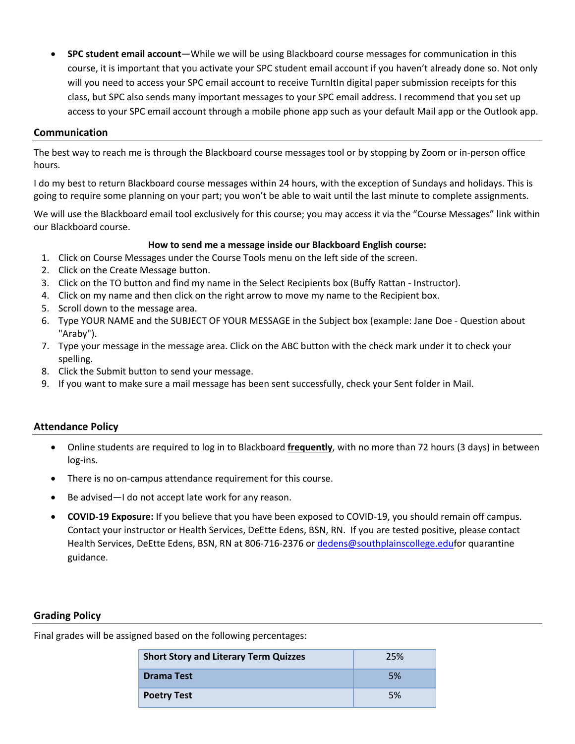• **SPC student email account**—While we will be using Blackboard course messages for communication in this course, it is important that you activate your SPC student email account if you haven't already done so. Not only will you need to access your SPC email account to receive TurnItIn digital paper submission receipts for this class, but SPC also sends many important messages to your SPC email address. I recommend that you set up access to your SPC email account through a mobile phone app such as your default Mail app or the Outlook app.

# **Communication**

The best way to reach me is through the Blackboard course messages tool or by stopping by Zoom or in-person office hours.

I do my best to return Blackboard course messages within 24 hours, with the exception of Sundays and holidays. This is going to require some planning on your part; you won't be able to wait until the last minute to complete assignments.

We will use the Blackboard email tool exclusively for this course; you may access it via the "Course Messages" link within our Blackboard course.

# **How to send me a message inside our Blackboard English course:**

- 1. Click on Course Messages under the Course Tools menu on the left side of the screen.
- 2. Click on the Create Message button.
- 3. Click on the TO button and find my name in the Select Recipients box (Buffy Rattan Instructor).
- 4. Click on my name and then click on the right arrow to move my name to the Recipient box.
- 5. Scroll down to the message area.
- 6. Type YOUR NAME and the SUBJECT OF YOUR MESSAGE in the Subject box (example: Jane Doe Question about "Araby").
- 7. Type your message in the message area. Click on the ABC button with the check mark under it to check your spelling.
- 8. Click the Submit button to send your message.
- 9. If you want to make sure a mail message has been sent successfully, check your Sent folder in Mail.

# **Attendance Policy**

- Online students are required to log in to Blackboard **frequently**, with no more than 72 hours (3 days) in between log-ins.
- There is no on-campus attendance requirement for this course.
- Be advised—I do not accept late work for any reason.
- **COVID-19 Exposure:** If you believe that you have been exposed to COVID-19, you should remain off campus. Contact your instructor or Health Services, DeEtte Edens, BSN, RN. If you are tested positive, please contact Health Services, DeEtte Edens, BSN, RN at 806-716-2376 or dedens@southplainscollege.edufor quarantine guidance.

# **Grading Policy**

Final grades will be assigned based on the following percentages:

| <b>Short Story and Literary Term Quizzes</b> | 25% |
|----------------------------------------------|-----|
| <b>Drama Test</b>                            | 5%  |
| <b>Poetry Test</b>                           | 5%  |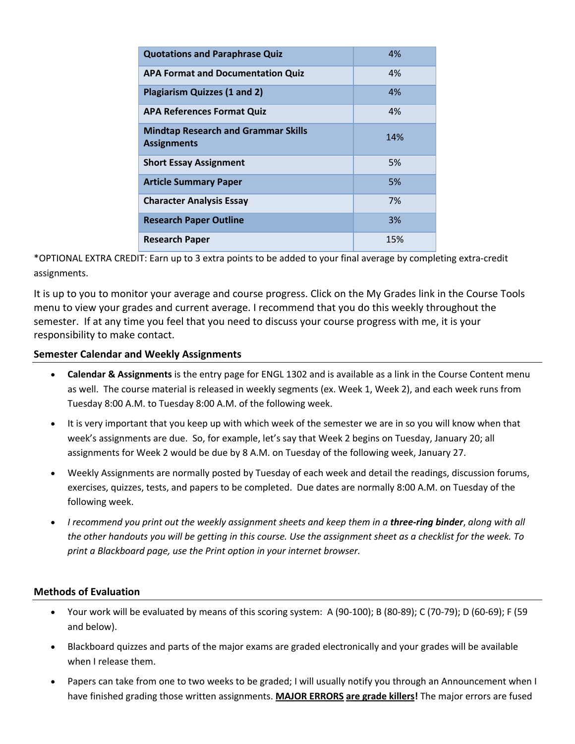| <b>Quotations and Paraphrase Quiz</b>                            | 4%  |
|------------------------------------------------------------------|-----|
| <b>APA Format and Documentation Quiz</b>                         | 4%  |
| <b>Plagiarism Quizzes (1 and 2)</b>                              | 4%  |
| <b>APA References Format Quiz</b>                                | 4%  |
| <b>Mindtap Research and Grammar Skills</b><br><b>Assignments</b> | 14% |
| <b>Short Essay Assignment</b>                                    | 5%  |
| <b>Article Summary Paper</b>                                     | 5%  |
| <b>Character Analysis Essay</b>                                  | 7%  |
| <b>Research Paper Outline</b>                                    | 3%  |
| <b>Research Paper</b>                                            | 15% |

\*OPTIONAL EXTRA CREDIT: Earn up to 3 extra points to be added to your final average by completing extra-credit assignments.

It is up to you to monitor your average and course progress. Click on the My Grades link in the Course Tools menu to view your grades and current average. I recommend that you do this weekly throughout the semester. If at any time you feel that you need to discuss your course progress with me, it is your responsibility to make contact.

# **Semester Calendar and Weekly Assignments**

- **Calendar & Assignments** is the entry page for ENGL 1302 and is available as a link in the Course Content menu as well. The course material is released in weekly segments (ex. Week 1, Week 2), and each week runs from Tuesday 8:00 A.M. to Tuesday 8:00 A.M. of the following week.
- It is very important that you keep up with which week of the semester we are in so you will know when that week's assignments are due. So, for example, let's say that Week 2 begins on Tuesday, January 20; all assignments for Week 2 would be due by 8 A.M. on Tuesday of the following week, January 27.
- Weekly Assignments are normally posted by Tuesday of each week and detail the readings, discussion forums, exercises, quizzes, tests, and papers to be completed. Due dates are normally 8:00 A.M. on Tuesday of the following week.
- *I recommend you print out the weekly assignment sheets and keep them in a three-ring binder*, *along with all the other handouts you will be getting in this course. Use the assignment sheet as a checklist for the week. To print a Blackboard page, use the Print option in your internet browser.*

# **Methods of Evaluation**

- Your work will be evaluated by means of this scoring system: A (90-100); B (80-89); C (70-79); D (60-69); F (59 and below).
- Blackboard quizzes and parts of the major exams are graded electronically and your grades will be available when I release them.
- Papers can take from one to two weeks to be graded; I will usually notify you through an Announcement when I have finished grading those written assignments. **MAJOR ERRORS are grade killers!** The major errors are fused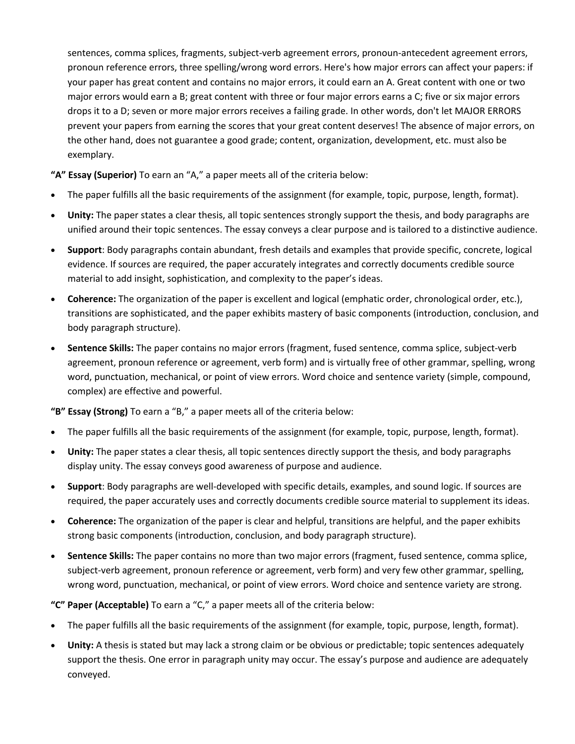sentences, comma splices, fragments, subject-verb agreement errors, pronoun-antecedent agreement errors, pronoun reference errors, three spelling/wrong word errors. Here's how major errors can affect your papers: if your paper has great content and contains no major errors, it could earn an A. Great content with one or two major errors would earn a B; great content with three or four major errors earns a C; five or six major errors drops it to a D; seven or more major errors receives a failing grade. In other words, don't let MAJOR ERRORS prevent your papers from earning the scores that your great content deserves! The absence of major errors, on the other hand, does not guarantee a good grade; content, organization, development, etc. must also be exemplary.

**"A" Essay (Superior)** To earn an "A," a paper meets all of the criteria below:

- The paper fulfills all the basic requirements of the assignment (for example, topic, purpose, length, format).
- **Unity:** The paper states a clear thesis, all topic sentences strongly support the thesis, and body paragraphs are unified around their topic sentences. The essay conveys a clear purpose and is tailored to a distinctive audience.
- **Support**: Body paragraphs contain abundant, fresh details and examples that provide specific, concrete, logical evidence. If sources are required, the paper accurately integrates and correctly documents credible source material to add insight, sophistication, and complexity to the paper's ideas.
- **Coherence:** The organization of the paper is excellent and logical (emphatic order, chronological order, etc.), transitions are sophisticated, and the paper exhibits mastery of basic components (introduction, conclusion, and body paragraph structure).
- **Sentence Skills:** The paper contains no major errors (fragment, fused sentence, comma splice, subject-verb agreement, pronoun reference or agreement, verb form) and is virtually free of other grammar, spelling, wrong word, punctuation, mechanical, or point of view errors. Word choice and sentence variety (simple, compound, complex) are effective and powerful.

**"B" Essay (Strong)** To earn a "B," a paper meets all of the criteria below:

- The paper fulfills all the basic requirements of the assignment (for example, topic, purpose, length, format).
- **Unity:** The paper states a clear thesis, all topic sentences directly support the thesis, and body paragraphs display unity. The essay conveys good awareness of purpose and audience.
- **Support**: Body paragraphs are well-developed with specific details, examples, and sound logic. If sources are required, the paper accurately uses and correctly documents credible source material to supplement its ideas.
- **Coherence:** The organization of the paper is clear and helpful, transitions are helpful, and the paper exhibits strong basic components (introduction, conclusion, and body paragraph structure).
- **Sentence Skills:** The paper contains no more than two major errors (fragment, fused sentence, comma splice, subject-verb agreement, pronoun reference or agreement, verb form) and very few other grammar, spelling, wrong word, punctuation, mechanical, or point of view errors. Word choice and sentence variety are strong.

**"C" Paper (Acceptable)** To earn a "C," a paper meets all of the criteria below:

- The paper fulfills all the basic requirements of the assignment (for example, topic, purpose, length, format).
- **Unity:** A thesis is stated but may lack a strong claim or be obvious or predictable; topic sentences adequately support the thesis. One error in paragraph unity may occur. The essay's purpose and audience are adequately conveyed.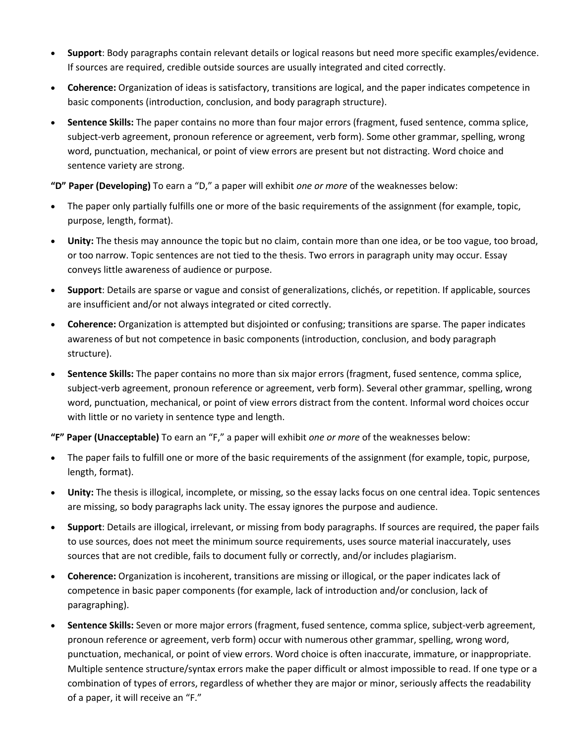- **Support**: Body paragraphs contain relevant details or logical reasons but need more specific examples/evidence. If sources are required, credible outside sources are usually integrated and cited correctly.
- **Coherence:** Organization of ideas is satisfactory, transitions are logical, and the paper indicates competence in basic components (introduction, conclusion, and body paragraph structure).
- **Sentence Skills:** The paper contains no more than four major errors (fragment, fused sentence, comma splice, subject-verb agreement, pronoun reference or agreement, verb form). Some other grammar, spelling, wrong word, punctuation, mechanical, or point of view errors are present but not distracting. Word choice and sentence variety are strong.

**"D" Paper (Developing)** To earn a "D," a paper will exhibit *one or more* of the weaknesses below:

- The paper only partially fulfills one or more of the basic requirements of the assignment (for example, topic, purpose, length, format).
- **Unity:** The thesis may announce the topic but no claim, contain more than one idea, or be too vague, too broad, or too narrow. Topic sentences are not tied to the thesis. Two errors in paragraph unity may occur. Essay conveys little awareness of audience or purpose.
- **Support**: Details are sparse or vague and consist of generalizations, clichés, or repetition. If applicable, sources are insufficient and/or not always integrated or cited correctly.
- **Coherence:** Organization is attempted but disjointed or confusing; transitions are sparse. The paper indicates awareness of but not competence in basic components (introduction, conclusion, and body paragraph structure).
- **Sentence Skills:** The paper contains no more than six major errors (fragment, fused sentence, comma splice, subject-verb agreement, pronoun reference or agreement, verb form). Several other grammar, spelling, wrong word, punctuation, mechanical, or point of view errors distract from the content. Informal word choices occur with little or no variety in sentence type and length.

**"F" Paper (Unacceptable)** To earn an "F," a paper will exhibit *one or more* of the weaknesses below:

- The paper fails to fulfill one or more of the basic requirements of the assignment (for example, topic, purpose, length, format).
- **Unity:** The thesis is illogical, incomplete, or missing, so the essay lacks focus on one central idea. Topic sentences are missing, so body paragraphs lack unity. The essay ignores the purpose and audience.
- **Support**: Details are illogical, irrelevant, or missing from body paragraphs. If sources are required, the paper fails to use sources, does not meet the minimum source requirements, uses source material inaccurately, uses sources that are not credible, fails to document fully or correctly, and/or includes plagiarism.
- **Coherence:** Organization is incoherent, transitions are missing or illogical, or the paper indicates lack of competence in basic paper components (for example, lack of introduction and/or conclusion, lack of paragraphing).
- **Sentence Skills:** Seven or more major errors (fragment, fused sentence, comma splice, subject-verb agreement, pronoun reference or agreement, verb form) occur with numerous other grammar, spelling, wrong word, punctuation, mechanical, or point of view errors. Word choice is often inaccurate, immature, or inappropriate. Multiple sentence structure/syntax errors make the paper difficult or almost impossible to read. If one type or a combination of types of errors, regardless of whether they are major or minor, seriously affects the readability of a paper, it will receive an "F."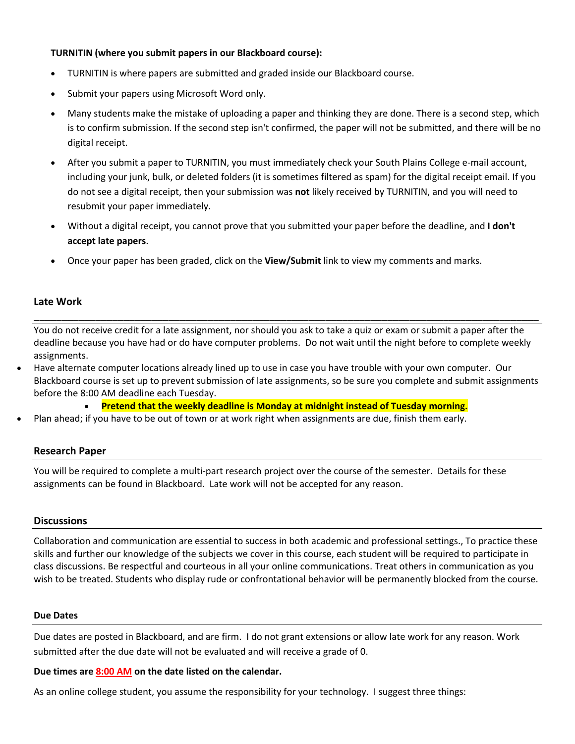### **TURNITIN (where you submit papers in our Blackboard course):**

- TURNITIN is where papers are submitted and graded inside our Blackboard course.
- Submit your papers using Microsoft Word only.
- Many students make the mistake of uploading a paper and thinking they are done. There is a second step, which is to confirm submission. If the second step isn't confirmed, the paper will not be submitted, and there will be no digital receipt.
- After you submit a paper to TURNITIN, you must immediately check your South Plains College e-mail account, including your junk, bulk, or deleted folders (it is sometimes filtered as spam) for the digital receipt email. If you do not see a digital receipt, then your submission was **not** likely received by TURNITIN, and you will need to resubmit your paper immediately.
- Without a digital receipt, you cannot prove that you submitted your paper before the deadline, and **I don't accept late papers**.
- Once your paper has been graded, click on the **View/Submit** link to view my comments and marks.

# **Late Work**

You do not receive credit for a late assignment, nor should you ask to take a quiz or exam or submit a paper after the deadline because you have had or do have computer problems. Do not wait until the night before to complete weekly assignments.

\_\_\_\_\_\_\_\_\_\_\_\_\_\_\_\_\_\_\_\_\_\_\_\_\_\_\_\_\_\_\_\_\_\_\_\_\_\_\_\_\_\_\_\_\_\_\_\_\_\_\_\_\_\_\_\_\_\_\_\_\_\_\_\_\_\_\_\_\_\_\_\_\_\_\_\_\_\_\_\_\_\_\_\_\_\_\_\_\_\_

• Have alternate computer locations already lined up to use in case you have trouble with your own computer. Our Blackboard course is set up to prevent submission of late assignments, so be sure you complete and submit assignments before the 8:00 AM deadline each Tuesday.

• **Pretend that the weekly deadline is Monday at midnight instead of Tuesday morning.**

• Plan ahead; if you have to be out of town or at work right when assignments are due, finish them early.

# **Research Paper**

You will be required to complete a multi-part research project over the course of the semester. Details for these assignments can be found in Blackboard. Late work will not be accepted for any reason.

### **Discussions**

Collaboration and communication are essential to success in both academic and professional settings., To practice these skills and further our knowledge of the subjects we cover in this course, each student will be required to participate in class discussions. Be respectful and courteous in all your online communications. Treat others in communication as you wish to be treated. Students who display rude or confrontational behavior will be permanently blocked from the course.

#### **Due Dates**

Due dates are posted in Blackboard, and are firm. I do not grant extensions or allow late work for any reason. Work submitted after the due date will not be evaluated and will receive a grade of 0.

**Due times are 8:00 AM on the date listed on the calendar.** 

As an online college student, you assume the responsibility for your technology. I suggest three things: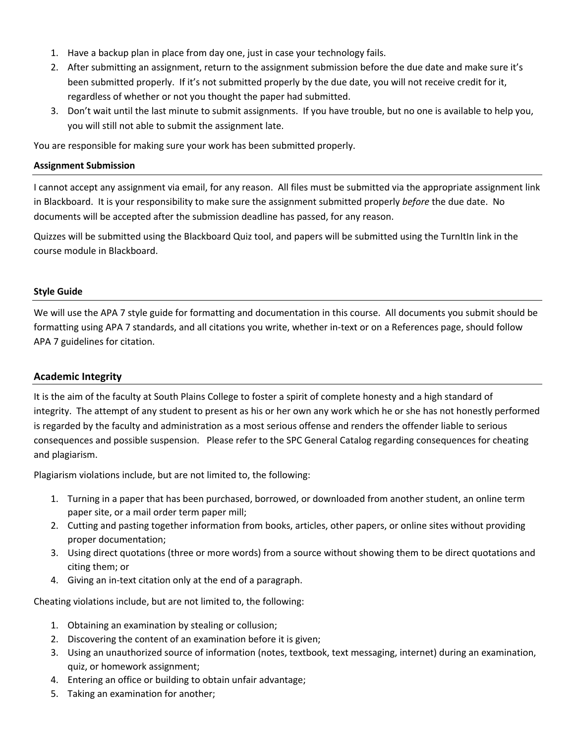- 1. Have a backup plan in place from day one, just in case your technology fails.
- 2. After submitting an assignment, return to the assignment submission before the due date and make sure it's been submitted properly. If it's not submitted properly by the due date, you will not receive credit for it, regardless of whether or not you thought the paper had submitted.
- 3. Don't wait until the last minute to submit assignments. If you have trouble, but no one is available to help you, you will still not able to submit the assignment late.

You are responsible for making sure your work has been submitted properly.

#### **Assignment Submission**

I cannot accept any assignment via email, for any reason. All files must be submitted via the appropriate assignment link in Blackboard. It is your responsibility to make sure the assignment submitted properly *before* the due date. No documents will be accepted after the submission deadline has passed, for any reason.

Quizzes will be submitted using the Blackboard Quiz tool, and papers will be submitted using the TurnItIn link in the course module in Blackboard.

#### **Style Guide**

We will use the APA 7 style guide for formatting and documentation in this course. All documents you submit should be formatting using APA 7 standards, and all citations you write, whether in-text or on a References page, should follow APA 7 guidelines for citation.

# **Academic Integrity**

It is the aim of the faculty at South Plains College to foster a spirit of complete honesty and a high standard of integrity. The attempt of any student to present as his or her own any work which he or she has not honestly performed is regarded by the faculty and administration as a most serious offense and renders the offender liable to serious consequences and possible suspension. Please refer to the SPC General Catalog regarding consequences for cheating and plagiarism.

Plagiarism violations include, but are not limited to, the following:

- 1. Turning in a paper that has been purchased, borrowed, or downloaded from another student, an online term paper site, or a mail order term paper mill;
- 2. Cutting and pasting together information from books, articles, other papers, or online sites without providing proper documentation;
- 3. Using direct quotations (three or more words) from a source without showing them to be direct quotations and citing them; or
- 4. Giving an in-text citation only at the end of a paragraph.

Cheating violations include, but are not limited to, the following:

- 1. Obtaining an examination by stealing or collusion;
- 2. Discovering the content of an examination before it is given;
- 3. Using an unauthorized source of information (notes, textbook, text messaging, internet) during an examination, quiz, or homework assignment;
- 4. Entering an office or building to obtain unfair advantage;
- 5. Taking an examination for another;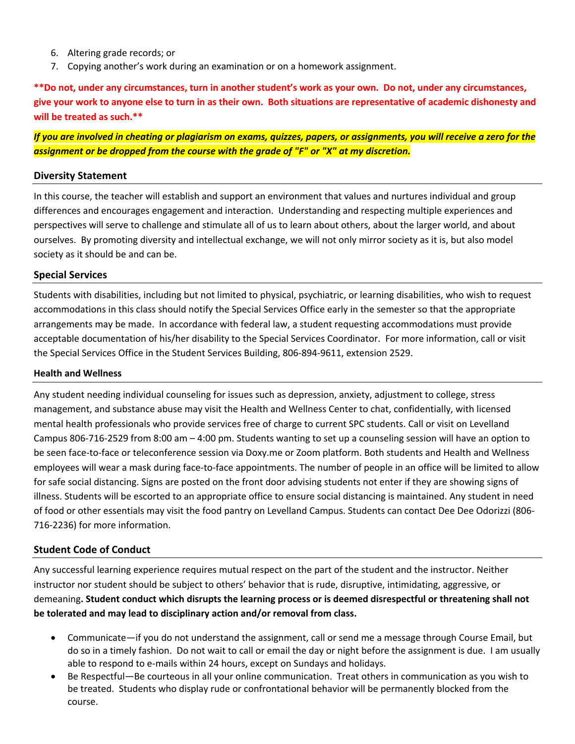- 6. Altering grade records; or
- 7. Copying another's work during an examination or on a homework assignment.

**\*\*Do not, under any circumstances, turn in another student's work as your own. Do not, under any circumstances, give your work to anyone else to turn in as their own. Both situations are representative of academic dishonesty and will be treated as such.\*\***

*If you are involved in cheating or plagiarism on exams, quizzes, papers, or assignments, you will receive a zero for the assignment or be dropped from the course with the grade of "F" or "X" at my discretion.*

# **Diversity Statement**

In this course, the teacher will establish and support an environment that values and nurtures individual and group differences and encourages engagement and interaction. Understanding and respecting multiple experiences and perspectives will serve to challenge and stimulate all of us to learn about others, about the larger world, and about ourselves. By promoting diversity and intellectual exchange, we will not only mirror society as it is, but also model society as it should be and can be.

# **Special Services**

Students with disabilities, including but not limited to physical, psychiatric, or learning disabilities, who wish to request accommodations in this class should notify the Special Services Office early in the semester so that the appropriate arrangements may be made. In accordance with federal law, a student requesting accommodations must provide acceptable documentation of his/her disability to the Special Services Coordinator. For more information, call or visit the Special Services Office in the Student Services Building, 806-894-9611, extension 2529.

# **Health and Wellness**

Any student needing individual counseling for issues such as depression, anxiety, adjustment to college, stress management, and substance abuse may visit the Health and Wellness Center to chat, confidentially, with licensed mental health professionals who provide services free of charge to current SPC students. Call or visit on Levelland Campus 806-716-2529 from 8:00 am – 4:00 pm. Students wanting to set up a counseling session will have an option to be seen face-to-face or teleconference session via Doxy.me or Zoom platform. Both students and Health and Wellness employees will wear a mask during face-to-face appointments. The number of people in an office will be limited to allow for safe social distancing. Signs are posted on the front door advising students not enter if they are showing signs of illness. Students will be escorted to an appropriate office to ensure social distancing is maintained. Any student in need of food or other essentials may visit the food pantry on Levelland Campus. Students can contact Dee Dee Odorizzi (806- 716-2236) for more information.

# **Student Code of Conduct**

Any successful learning experience requires mutual respect on the part of the student and the instructor. Neither instructor nor student should be subject to others' behavior that is rude, disruptive, intimidating, aggressive, or demeaning**. Student conduct which disrupts the learning process or is deemed disrespectful or threatening shall not be tolerated and may lead to disciplinary action and/or removal from class.**

- Communicate—if you do not understand the assignment, call or send me a message through Course Email, but do so in a timely fashion. Do not wait to call or email the day or night before the assignment is due. I am usually able to respond to e-mails within 24 hours, except on Sundays and holidays.
- Be Respectful—Be courteous in all your online communication. Treat others in communication as you wish to be treated. Students who display rude or confrontational behavior will be permanently blocked from the course.